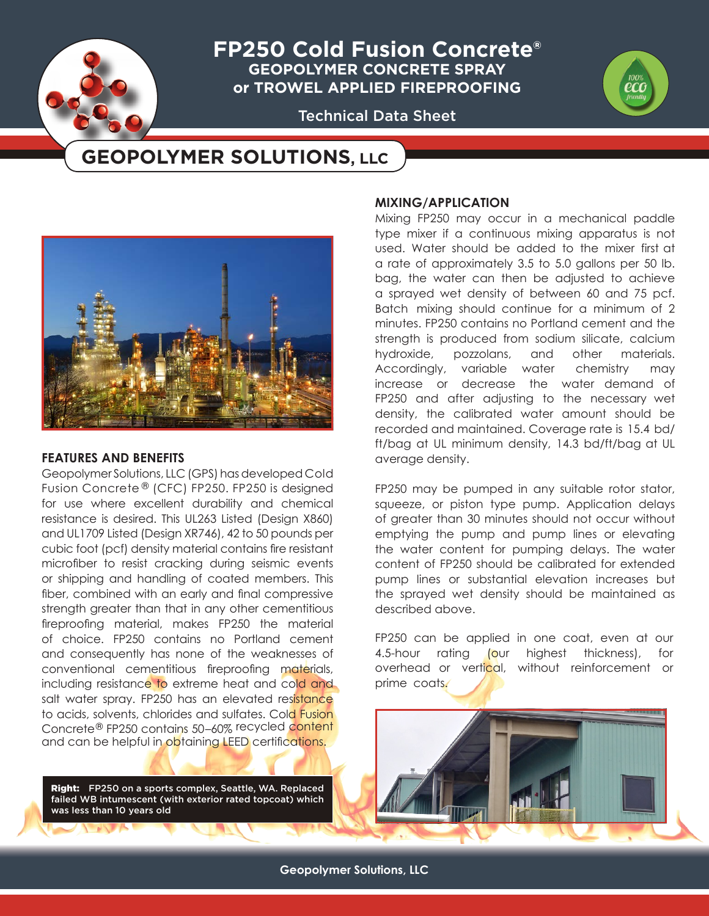**FP250 Cold Fusion Concrete® GEOPOLYMER CONCRETE SPRAY or TROWEL APPLIED FIREPROOFING**

Technical Data Sheet

# **GEOPOLYMER SOLUTIONS, LLC**



# **FEATURES AND BENEFITS**

Geopolymer Solutions, LLC (GPS) has developed Cold Fusion Concrete ® (CFC) FP250. FP250 is designed for use where excellent durability and chemical resistance is desired. This UL263 Listed (Design X860) and UL1709 Listed (Design XR746), 42 to 50 pounds per cubic foot (pcf) density material contains fire resistant microfiber to resist cracking during seismic events or shipping and handling of coated members. This fiber, combined with an early and final compressive strength greater than that in any other cementitious fireproofing material, makes FP250 the material of choice. FP250 contains no Portland cement and consequently has none of the weaknesses of conventional cementitious fireproofing materials, including resistance to extreme heat and cold and salt water spray. FP250 has an elevated resistance to acids, solvents, chlorides and sulfates. Cold Fusion Concrete® FP250 contains 50–60% recycled content and can be helpful in obtaining LEED certifications.

Right: FP250 on a sports complex, Seattle, WA. Replaced failed WB intumescent (with exterior rated topcoat) which was less than 10 years old

# **MIXING/APPLICATION**

Mixing FP250 may occur in a mechanical paddle type mixer if a continuous mixing apparatus is not used. Water should be added to the mixer first at a rate of approximately 3.5 to 5.0 gallons per 50 lb. bag, the water can then be adjusted to achieve a sprayed wet density of between 60 and 75 pcf. Batch mixing should continue for a minimum of 2 minutes. FP250 contains no Portland cement and the strength is produced from sodium silicate, calcium hydroxide, pozzolans, and other materials. Accordingly, variable water chemistry may increase or decrease the water demand of FP250 and after adjusting to the necessary wet density, the calibrated water amount should be recorded and maintained. Coverage rate is 15.4 bd/ ft/bag at UL minimum density, 14.3 bd/ft/bag at UL average density.

FP250 may be pumped in any suitable rotor stator, squeeze, or piston type pump. Application delays of greater than 30 minutes should not occur without emptying the pump and pump lines or elevating the water content for pumping delays. The water content of FP250 should be calibrated for extended pump lines or substantial elevation increases but the sprayed wet density should be maintained as described above.

FP250 can be applied in one coat, even at our 4.5-hour rating (our highest thickness), for overhead or vertical, without reinforcement or prime coats.